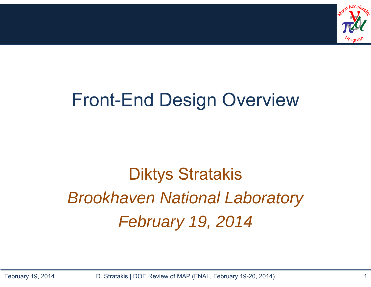

#### Front-End Design Overview

# Diktys Stratakis *Brookhaven National Laboratory February 19, 2014*

February 19, 2014 D. Stratakis | DOE Review of MAP (FNAL, February 19-20, 2014) 1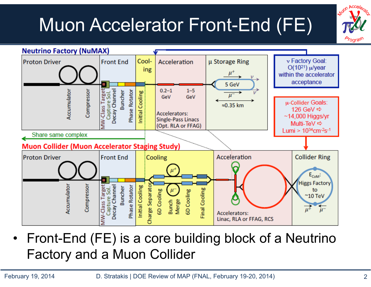# Muon Accelerator Front-End (FE)





• Front-End (FE) is a core building block of a Neutrino Factory and a Muon Collider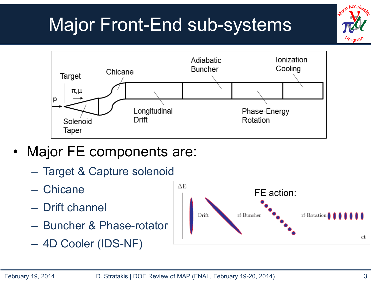# Major Front-End sub-systems



- • Major FE components are:
	- –Target & Capture solenoid
	- Chicane
	- Drift channel
	- Buncher & Phase-rotator
	- $\mathcal{L}_{\mathcal{A}}$ 4D Cooler (IDS-NF)

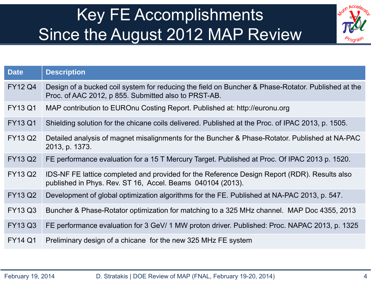#### Key FE Accomplishments Since the August 2012 MAP Review



| <b>Description</b>                                                                                                                                         |
|------------------------------------------------------------------------------------------------------------------------------------------------------------|
| Design of a bucked coil system for reducing the field on Buncher & Phase-Rotator. Published at the<br>Proc. of AAC 2012, p 855. Submitted also to PRST-AB. |
| MAP contribution to EUROnu Costing Report. Published at: http://euronu.org                                                                                 |
| Shielding solution for the chicane coils delivered. Published at the Proc. of IPAC 2013, p. 1505.                                                          |
| Detailed analysis of magnet misalignments for the Buncher & Phase-Rotator. Published at NA-PAC<br>2013, p. 1373.                                           |
| FE performance evaluation for a 15 T Mercury Target. Published at Proc. Of IPAC 2013 p. 1520.                                                              |
| IDS-NF FE lattice completed and provided for the Reference Design Report (RDR). Results also<br>published in Phys. Rev. ST 16, Accel. Beams 040104 (2013). |
| Development of global optimization algorithms for the FE. Published at NA-PAC 2013, p. 547.                                                                |
| Buncher & Phase-Rotator optimization for matching to a 325 MHz channel. MAP Doc 4355, 2013                                                                 |
| FE performance evaluation for 3 GeV/ 1 MW proton driver. Published: Proc. NAPAC 2013, p. 1325                                                              |
| Preliminary design of a chicane for the new 325 MHz FE system                                                                                              |
|                                                                                                                                                            |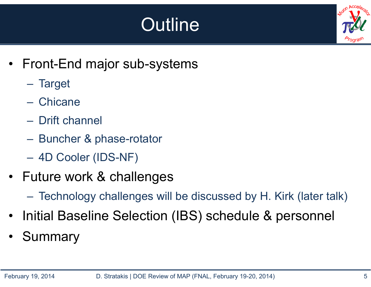# **Outline**



- • Front-End major sub-systems
	- Target
	- Chicane
	- Drift channel
	- $\mathcal{L}_{\mathcal{A}}$ Buncher & phase-rotator
	- 4D Cooler (IDS-NF)
- Future work & challenges
	- Technology challenges will be discussed by H. Kirk (later talk)
- •Initial Baseline Selection (IBS) schedule & personnel
- •**Summary**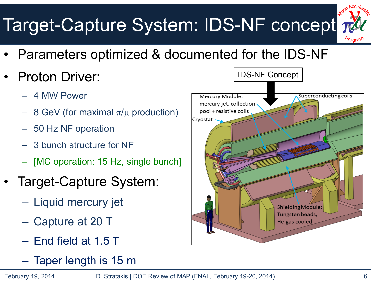# Target-Capture System: IDS-NF concept



- •Parameters optimized & documented for the IDS-NF
- • Proton Driver:
	- 4 MW Power
	- 8 GeV (for maximal  $\pi/\mu$  production)
	- 50 Hz NF operation
	- 3 bunch structure for NF
	- [MC operation: 15 Hz, single bunch]
- • Target-Capture System:
	- Liquid mercury jet
	- Capture at 20 T
	- End field at 1.5 T
	- Taper length is 15 m

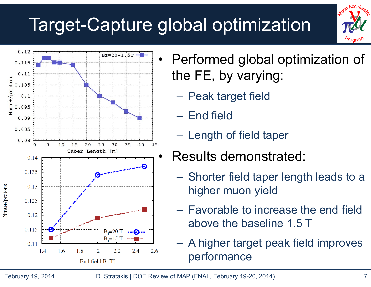## Target-Capture global optimization





- Performed global optimization of the FE, by varying:
	- **Holland** and the state Peak target field
	- End field
	- **Hart Communist Communist** Length of field taper
	- Results demonstrated:
		- **Hart Communist Communist**  Shorter field taper length leads to a higher muon yield
	- **Hart Communist Communist**  Favorable to increase the end field above the baseline 1.5 T
	- **Holland** and the state A higher target peak field improves performance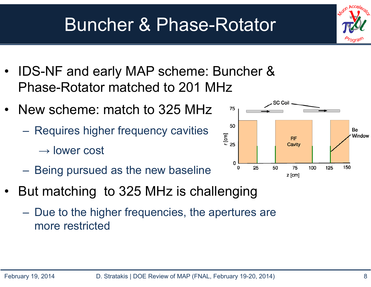#### Buncher & Phase-Rotator

- • IDS-NF and early MAP scheme: Buncher & Phase-Rotator matched to 201 MHz
- New scheme: match to 325 MHz
	- Requires higher frequency cavities
		- $\rightarrow$  lower cost
	- Being pursued as the new baseline
- • But matching to 325 MHz is challenging
	- – Due to the higher frequencies, the apertures are more restricted



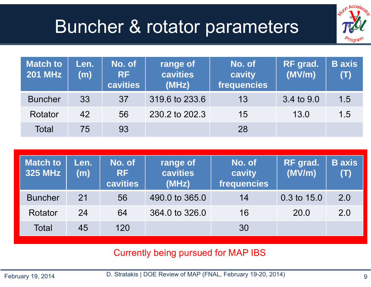### Buncher & rotator parameters



| <b>Match to</b><br><b>201 MHz</b> | Len.<br>(m) | No. of<br><b>RF</b><br>cavities | No. of<br>range of<br>cavities<br>cavity<br>frequencies<br>(MHz) |    | RF grad.<br>(MV/m) | <b>B</b> axis<br>(T) |
|-----------------------------------|-------------|---------------------------------|------------------------------------------------------------------|----|--------------------|----------------------|
| <b>Buncher</b>                    | 33          | 37                              | 319.6 to 233.6                                                   | 13 | 3.4 to 9.0         | 1.5                  |
| Rotator                           | 42          | 56                              | 230.2 to 202.3                                                   | 15 | 13.0               | 1.5                  |
| <b>Total</b>                      | 75          | 93                              |                                                                  | 28 |                    |                      |

| <b>Match to</b><br><b>325 MHz</b> | Len.<br>(m) | No. of<br><b>RF</b><br>cavities | range of<br>cavities<br>(MHz) | No. of<br>cavity<br>frequencies | <b>RF</b> grad.<br>(MV/m) | <b>B</b> axis<br>(T) |
|-----------------------------------|-------------|---------------------------------|-------------------------------|---------------------------------|---------------------------|----------------------|
| <b>Buncher</b>                    | 21          | 56                              | 490.0 to 365.0                | 14                              | 0.3 to 15.0               | 2.0                  |
| Rotator                           | 24          | 64                              | 364.0 to 326.0                | 16                              | 20.0                      | 2.0                  |
| Total                             | 45          | 120                             |                               | 30                              |                           |                      |

Currently being pursued for MAP IBS

D. Stratakis | DOE Review of MAP (FNAL, February 19-20, 2014)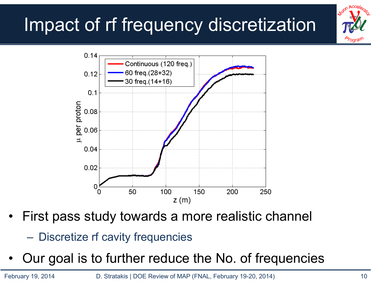# Impact of rf frequency discretization





- • First pass study towards a more realistic channel
	- Discretize rf cavity frequencies
- •Our goal is to further reduce the No. of frequencies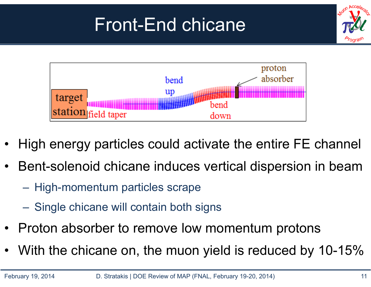# Front-End chicane





- •High energy particles could activate the entire FE channel
- • Bent-solenoid chicane induces vertical dispersion in beam
	- High-momentum particles scrape
	- Single chicane will contain both signs
- •Proton absorber to remove low momentum protons
- •With the chicane on, the muon yield is reduced by 10-15%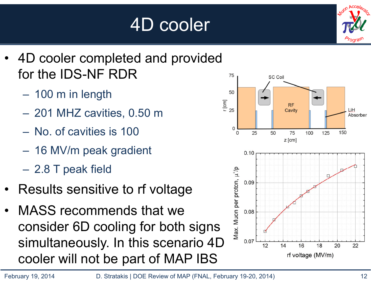# 4D cooler



- • 4D cooler completed and provided for the IDS-NF RDR
	- –100 m in length
	- 201 MHZ cavities, 0.50 m
	- No. of cavities is 100
	- 16 MV/m peak gradient
	- 2.8 T peak field
- •Results sensitive to rf voltage
- • MASS recommends that we consider 6D cooling for both signs simultaneously. In this scenario 4D cooler will not be part of MAP IBS

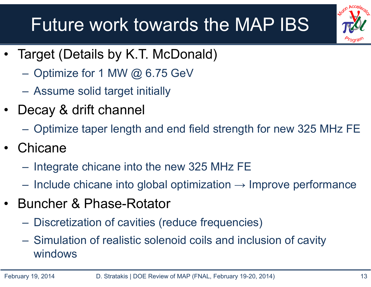### Future work towards the MAP IBS



- • Target (Details by K.T. McDonald)
	- Optimize for 1 MW @ 6.75 GeV
	- **Hart Communist Communist** Assume solid target initially
- Decay & drift channel
	- **Hart Communist Communist** Optimize taper length and end field strength for new 325 MHz FE
- •**Chicane** 
	- Integrate chicane into the new 325 MHz FE
	- Include chicane into global optimization  $\rightarrow$  Improve performance
- Buncher & Phase-Rotator
	- Discretization of cavities (reduce frequencies)
	- Simulation of realistic solenoid coils and inclusion of cavity windows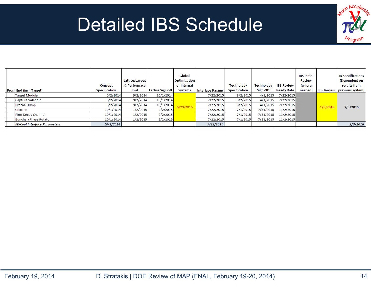#### Detailed IBS Schedule



|                                     | Concept              | Lattice/Layout  <br>& Performace |                         | Global<br><b>Optimization</b><br>of Internal |                         | <b>Technology</b>    | <b>Technology</b> | <b>IBS Review</b> | <b>IBS Initial</b><br><b>Review</b><br>(where |          | <b>IB Specifications</b><br>(Dependent on<br>results from |
|-------------------------------------|----------------------|----------------------------------|-------------------------|----------------------------------------------|-------------------------|----------------------|-------------------|-------------------|-----------------------------------------------|----------|-----------------------------------------------------------|
| <b>Front End (incl. Target)</b>     | <b>Specification</b> | Eval                             | <b>Lattice Sign-off</b> | <b>Systems</b>                               | <b>Interface Params</b> | <b>Specification</b> | Sign-Off          | <b>Ready Date</b> | needed)                                       |          | <b>IBS Review previous system)</b>                        |
| <b>Target Module</b>                | 6/2/2014             | 9/2/2014                         | 10/1/2014               |                                              | 7/22/2015               | 3/2/2015             | 4/1/2015          | 7/22/2015         |                                               |          |                                                           |
| Capture Solenoid                    | 6/2/2014             | 9/2/2014                         | 10/1/2014               |                                              | 7/22/2015               | 3/2/2015             | 4/1/2015          | 7/22/2015         |                                               |          |                                                           |
| <b>Proton Dump</b>                  | 6/2/2014             | 9/2/2014                         | 10/1/2014               | 23/2015                                      | 7/22/2015               | 3/2/2015             | 4/1/2015          | 7/22/2015         |                                               | 1/5/2016 | 2/3/2016                                                  |
| Chicane                             | 10/1/2014            | 1/2/2015                         | 2/2/2015                |                                              | 7/22/2015               | 7/1/2015             | 7/31/2015         | 11/2/2015         |                                               |          |                                                           |
| Pion Decay Channel                  | 10/1/2014            | 1/2/2015                         | 2/2/2015                |                                              | 7/22/2015               | 7/1/2015             | 7/31/2015         | 11/2/2015         |                                               |          |                                                           |
| Buncher/Phase Rotator               | 10/1/2014            | 1/2/2015                         | 2/2/2015                |                                              | 7/22/2015               | 7/1/2015             | 7/31/2015         | 11/2/2015         |                                               |          |                                                           |
| <b>FE-Cool Interface Parameters</b> | 10/1/2014            |                                  |                         |                                              | 7/22/2015               |                      |                   |                   |                                               |          | 2/3/2016                                                  |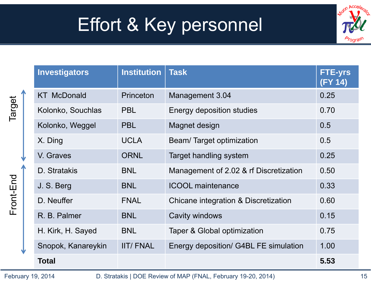### Effort & Key personnel



| <b>Investigators</b> | <b>Institution</b> | <b>Task</b>                            | <b>FTE-yrs</b><br>(FY 14) |
|----------------------|--------------------|----------------------------------------|---------------------------|
| <b>KT McDonald</b>   | Princeton          | Management 3.04                        | 0.25                      |
| Kolonko, Souchlas    | <b>PBL</b>         | Energy deposition studies              | 0.70                      |
| Kolonko, Weggel      | <b>PBL</b>         | Magnet design                          | 0.5                       |
| X. Ding              | <b>UCLA</b>        | Beam/Target optimization               | 0.5                       |
| V. Graves            | <b>ORNL</b>        | Target handling system                 | 0.25                      |
| D. Stratakis         | <b>BNL</b>         | Management of 2.02 & rf Discretization | 0.50                      |
| J. S. Berg           | <b>BNL</b>         | <b>ICOOL</b> maintenance               | 0.33                      |
| D. Neuffer           | <b>FNAL</b>        | Chicane integration & Discretization   | 0.60                      |
| R. B. Palmer         | <b>BNL</b>         | Cavity windows                         | 0.15                      |
| H. Kirk, H. Sayed    | <b>BNL</b>         | Taper & Global optimization            | 0.75                      |
| Snopok, Kanareykin   | <b>IIT/FNAL</b>    | Energy deposition/ G4BL FE simulation  | 1.00                      |
| <b>Total</b>         |                    |                                        | 5.53                      |

Front-End Target

Front-End

Target

February 19, 2014 15 D. Stratakis | DOE Review of MAP (FNAL, February 19-20, 2014)